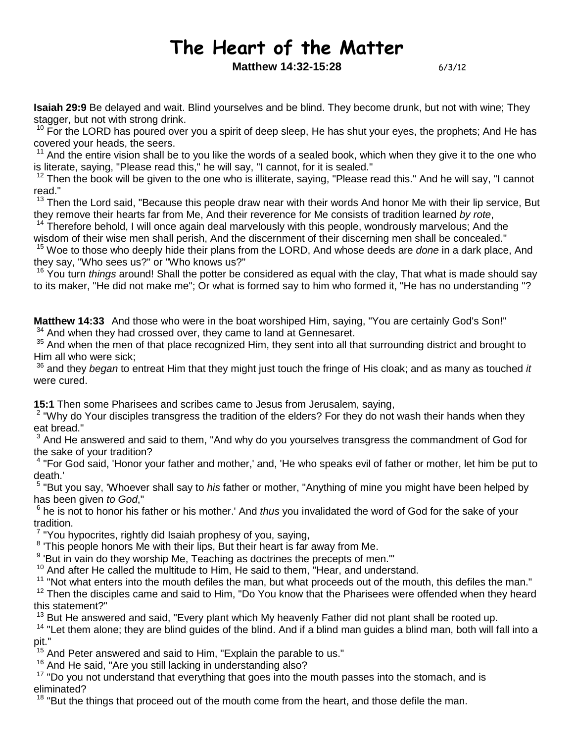# The Heart of the Matter

**Matthew 14:32-15:28** 6/3/12

**Isaiah 29:9** Be delayed and wait. Blind yourselves and be blind. They become drunk, but not with wine; They stagger, but not with strong drink.

<sup>10</sup> For the LORD has poured over you a spirit of deep sleep, He has shut your eyes, the prophets; And He has covered your heads, the seers.

 $11$  And the entire vision shall be to you like the words of a sealed book, which when they give it to the one who is literate, saying, "Please read this," he will say, "I cannot, for it is sealed."

 $12$  Then the book will be given to the one who is illiterate, saying, "Please read this." And he will say, "I cannot read."

<sup>13</sup> Then the Lord said, "Because this people draw near with their words And honor Me with their lip service, But they remove their hearts far from Me, And their reverence for Me consists of tradition learned by rote,

<sup>14</sup> Therefore behold, I will once again deal marvelously with this people, wondrously marvelous; And the wisdom of their wise men shall perish, And the discernment of their discerning men shall be concealed."

<sup>15</sup> Woe to those who deeply hide their plans from the LORD, And whose deeds are *done* in a dark place, And they say, "Who sees us?" or "Who knows us?"

 $16$  You turn things around! Shall the potter be considered as equal with the clay, That what is made should say to its maker, "He did not make me"; Or what is formed say to him who formed it, "He has no understanding "?

**Matthew 14:33** And those who were in the boat worshiped Him, saying, "You are certainly God's Son!"  $34$  And when they had crossed over, they came to land at Gennesaret.

<sup>35</sup> And when the men of that place recognized Him, they sent into all that surrounding district and brought to Him all who were sick;

 $36$  and they began to entreat Him that they might just touch the fringe of His cloak; and as many as touched it were cured.

**15:1** Then some Pharisees and scribes came to Jesus from Jerusalem, saying,

<sup>2</sup> "Why do Your disciples transgress the tradition of the elders? For they do not wash their hands when they eat bread."

 $3$  And He answered and said to them, "And why do you yourselves transgress the commandment of God for the sake of your tradition?

<sup>4</sup> "For God said, 'Honor your father and mother,' and, 'He who speaks evil of father or mother, let him be put to death.'

<sup>5</sup> "But you say, 'Whoever shall say to *his* father or mother, "Anything of mine you might have been helped by has been given to God,"

 $6$  he is not to honor his father or his mother.' And thus you invalidated the word of God for the sake of your tradition.

<sup>7</sup> "You hypocrites, rightly did Isaiah prophesy of you, saying,

<sup>8</sup> This people honors Me with their lips, But their heart is far away from Me.

<sup>9</sup> 'But in vain do they worship Me, Teaching as doctrines the precepts of men.""

 $10$  And after He called the multitude to Him, He said to them, "Hear, and understand.

 $11$  "Not what enters into the mouth defiles the man, but what proceeds out of the mouth, this defiles the man."

 $12$  Then the disciples came and said to Him, "Do You know that the Pharisees were offended when they heard this statement?"

 $13$  But He answered and said, "Every plant which My heavenly Father did not plant shall be rooted up.

<sup>14</sup> "Let them alone; they are blind guides of the blind. And if a blind man guides a blind man, both will fall into a pit."

 $15$  And Peter answered and said to Him, "Explain the parable to us."

<sup>16</sup> And He said, "Are you still lacking in understanding also?

<sup>17</sup> "Do you not understand that everything that goes into the mouth passes into the stomach, and is eliminated?

<sup>18</sup> "But the things that proceed out of the mouth come from the heart, and those defile the man.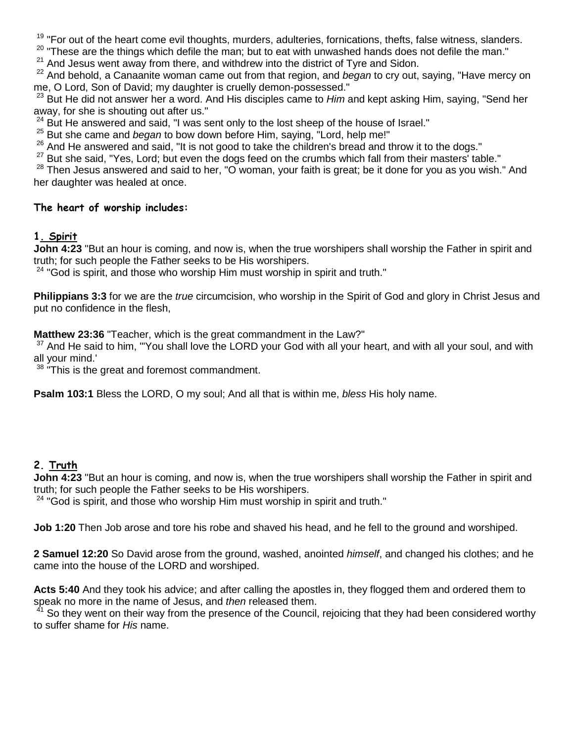<sup>19</sup> "For out of the heart come evil thoughts, murders, adulteries, fornications, thefts, false witness, slanders.

 $20$  "These are the things which defile the man; but to eat with unwashed hands does not defile the man."

 $21$  And Jesus went away from there, and withdrew into the district of Tyre and Sidon.

<sup>22</sup> And behold, a Canaanite woman came out from that region, and began to cry out, saying, "Have mercy on me, O Lord, Son of David; my daughter is cruelly demon-possessed."

 $^{23}$  But He did not answer her a word. And His disciples came to *Him* and kept asking Him, saving, "Send her away, for she is shouting out after us."

 $24$  But He answered and said, "I was sent only to the lost sheep of the house of Israel."

 $25$  But she came and began to bow down before Him, saying, "Lord, help me!"

 $26$  And He answered and said, "It is not good to take the children's bread and throw it to the dogs."

 $27$  But she said, "Yes, Lord; but even the dogs feed on the crumbs which fall from their masters' table."

 $28$  Then Jesus answered and said to her, "O woman, your faith is great; be it done for you as you wish." And her daughter was healed at once.

#### The heart of worship includes:

#### 1. Spirit

**John 4:23** "But an hour is coming, and now is, when the true worshipers shall worship the Father in spirit and truth; for such people the Father seeks to be His worshipers.

 $24$  "God is spirit, and those who worship Him must worship in spirit and truth."

**Philippians 3:3** for we are the *true* circumcision, who worship in the Spirit of God and glory in Christ Jesus and put no confidence in the flesh,

**Matthew 23:36** "Teacher, which is the great commandment in the Law?"

<sup>37</sup> And He said to him, "'You shall love the LORD your God with all your heart, and with all your soul, and with all your mind.'

<sup>38</sup> "This is the great and foremost commandment.

**Psalm 103:1** Bless the LORD, O my soul; And all that is within me, bless His holy name.

## 2. Truth

**John 4:23** "But an hour is coming, and now is, when the true worshipers shall worship the Father in spirit and truth; for such people the Father seeks to be His worshipers.

 $24$  "God is spirit, and those who worship Him must worship in spirit and truth."

**Job 1:20** Then Job arose and tore his robe and shaved his head, and he fell to the ground and worshiped.

**2 Samuel 12:20** So David arose from the ground, washed, anointed himself, and changed his clothes; and he came into the house of the LORD and worshiped.

**Acts 5:40** And they took his advice; and after calling the apostles in, they flogged them and ordered them to speak no more in the name of Jesus, and then released them.

<sup>41</sup> So they went on their way from the presence of the Council, rejoicing that they had been considered worthy to suffer shame for His name.